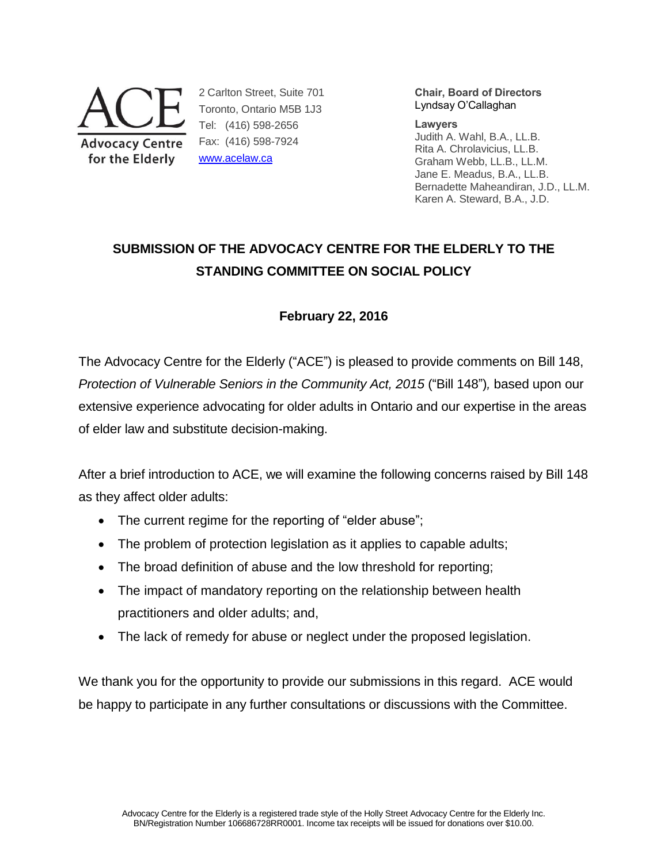

2 Carlton Street, Suite 701 Toronto, Ontario M5B 1J3 Tel: (416) 598-2656 Fax: (416) 598-7924 [www.acelaw.ca](http://www.acelaw.ca/)

**Chair, Board of Directors** Lyndsay O'Callaghan

#### **Lawyers**

Judith A. Wahl, B.A., LL.B. Rita A. Chrolavicius, LL.B. Graham Webb, LL.B., LL.M. Jane E. Meadus, B.A., LL.B. Bernadette Maheandiran, J.D., LL.M. Karen A. Steward, B.A., J.D.

# **SUBMISSION OF THE ADVOCACY CENTRE FOR THE ELDERLY TO THE STANDING COMMITTEE ON SOCIAL POLICY**

# **February 22, 2016**

The Advocacy Centre for the Elderly ("ACE") is pleased to provide comments on Bill 148, *Protection of Vulnerable Seniors in the Community Act, 2015 ("Bill 148"), based upon our* extensive experience advocating for older adults in Ontario and our expertise in the areas of elder law and substitute decision-making.

After a brief introduction to ACE, we will examine the following concerns raised by Bill 148 as they affect older adults:

- The current regime for the reporting of "elder abuse";
- The problem of protection legislation as it applies to capable adults;
- The broad definition of abuse and the low threshold for reporting;
- The impact of mandatory reporting on the relationship between health practitioners and older adults; and,
- The lack of remedy for abuse or neglect under the proposed legislation.

We thank you for the opportunity to provide our submissions in this regard. ACE would be happy to participate in any further consultations or discussions with the Committee.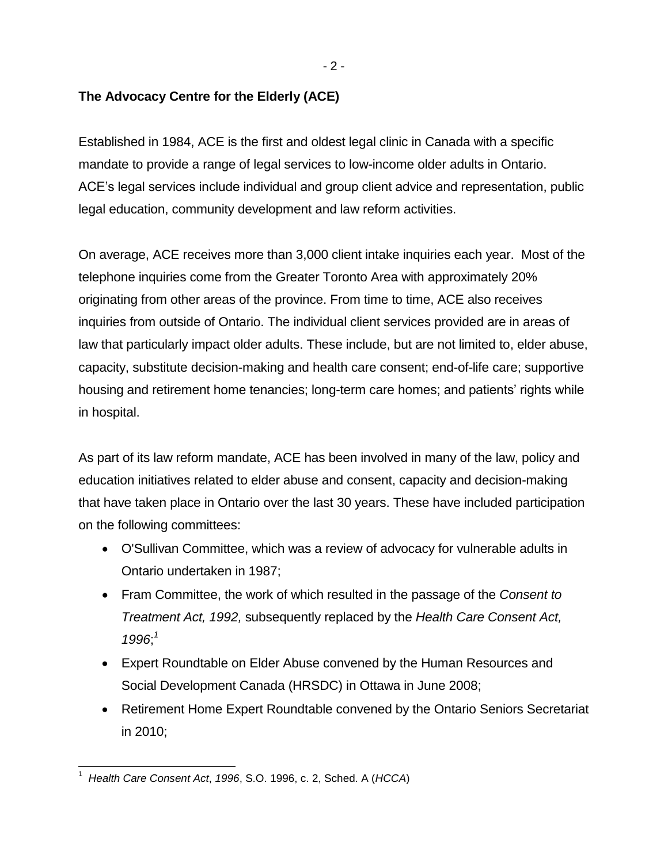$-2 -$ 

# **The Advocacy Centre for the Elderly (ACE)**

Established in 1984, ACE is the first and oldest legal clinic in Canada with a specific mandate to provide a range of legal services to low-income older adults in Ontario. ACE's legal services include individual and group client advice and representation, public legal education, community development and law reform activities.

On average, ACE receives more than 3,000 client intake inquiries each year. Most of the telephone inquiries come from the Greater Toronto Area with approximately 20% originating from other areas of the province. From time to time, ACE also receives inquiries from outside of Ontario. The individual client services provided are in areas of law that particularly impact older adults. These include, but are not limited to, elder abuse, capacity, substitute decision-making and health care consent; end-of-life care; supportive housing and retirement home tenancies; long-term care homes; and patients' rights while in hospital.

As part of its law reform mandate, ACE has been involved in many of the law, policy and education initiatives related to elder abuse and consent, capacity and decision-making that have taken place in Ontario over the last 30 years. These have included participation on the following committees:

- O'Sullivan Committee, which was a review of advocacy for vulnerable adults in Ontario undertaken in 1987;
- Fram Committee, the work of which resulted in the passage of the *Consent to Treatment Act, 1992,* subsequently replaced by the *Health Care Consent Act, 1996*; *1*
- <span id="page-1-0"></span> Expert Roundtable on Elder Abuse convened by the Human Resources and Social Development Canada (HRSDC) in Ottawa in June 2008;
- Retirement Home Expert Roundtable convened by the Ontario Seniors Secretariat in 2010;

 $\overline{\phantom{a}}$ 1 *Health Care Consent Act*, *1996*, S.O. 1996, c. 2, Sched. A (*HCCA*)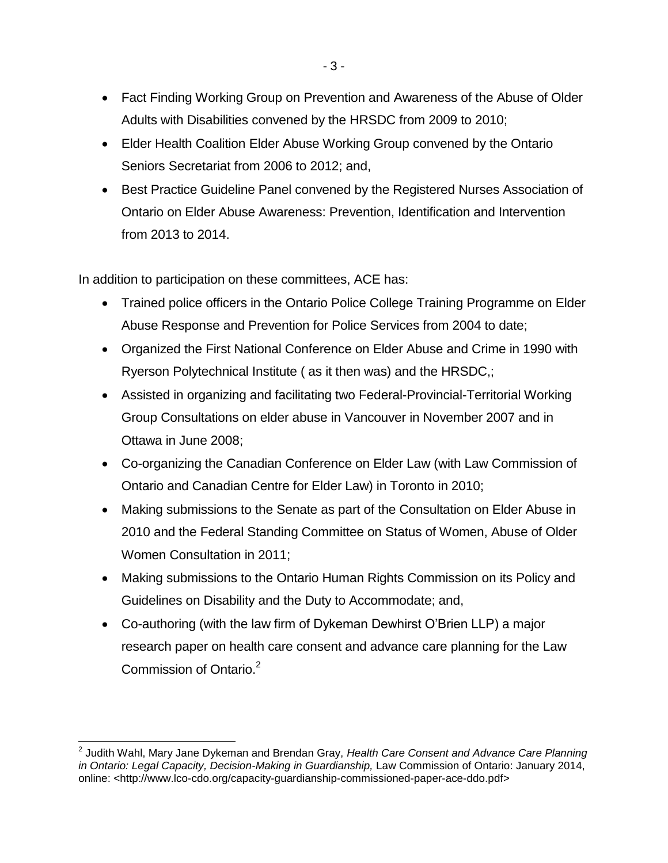- Fact Finding Working Group on Prevention and Awareness of the Abuse of Older Adults with Disabilities convened by the HRSDC from 2009 to 2010;
- Elder Health Coalition Elder Abuse Working Group convened by the Ontario Seniors Secretariat from 2006 to 2012; and,
- Best Practice Guideline Panel convened by the Registered Nurses Association of Ontario on Elder Abuse Awareness: Prevention, Identification and Intervention from 2013 to 2014.

In addition to participation on these committees, ACE has:

- Trained police officers in the Ontario Police College Training Programme on Elder Abuse Response and Prevention for Police Services from 2004 to date;
- Organized the First National Conference on Elder Abuse and Crime in 1990 with Ryerson Polytechnical Institute ( as it then was) and the HRSDC,;
- Assisted in organizing and facilitating two Federal-Provincial-Territorial Working Group Consultations on elder abuse in Vancouver in November 2007 and in Ottawa in June 2008;
- Co-organizing the Canadian Conference on Elder Law (with Law Commission of Ontario and Canadian Centre for Elder Law) in Toronto in 2010;
- Making submissions to the Senate as part of the Consultation on Elder Abuse in 2010 and the Federal Standing Committee on Status of Women, Abuse of Older Women Consultation in 2011;
- Making submissions to the Ontario Human Rights Commission on its Policy and Guidelines on Disability and the Duty to Accommodate; and,
- Co-authoring (with the law firm of Dykeman Dewhirst O'Brien LLP) a major research paper on health care consent and advance care planning for the Law Commission of Ontario.<sup>2</sup>

j 2 Judith Wahl, Mary Jane Dykeman and Brendan Gray, *Health Care Consent and Advance Care Planning*  in Ontario: Legal Capacity, Decision-Making in Guardianship, Law Commission of Ontario: January 2014, online: <http://www.lco-cdo.org/capacity-guardianship-commissioned-paper-ace-ddo.pdf>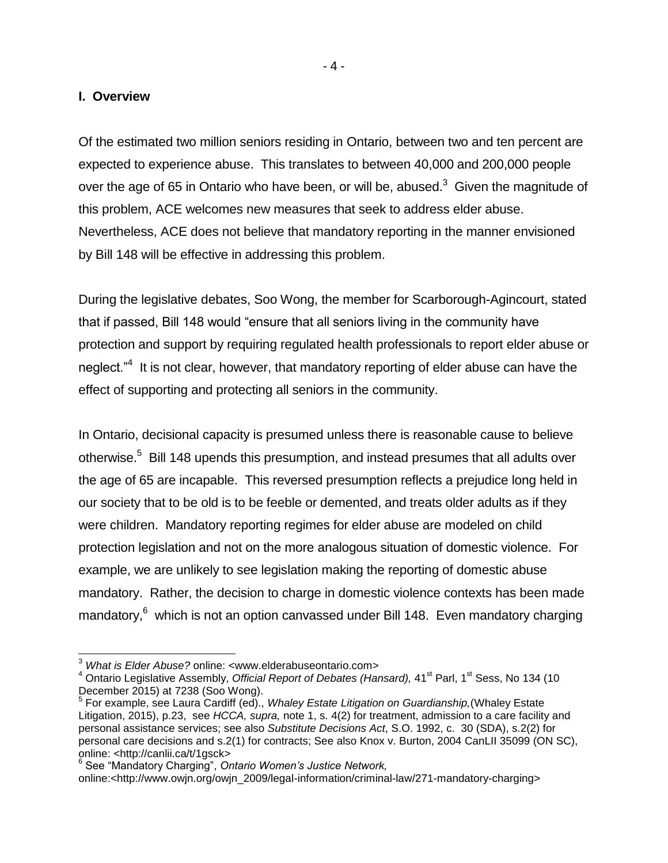#### **I. Overview**

l

Of the estimated two million seniors residing in Ontario, between two and ten percent are expected to experience abuse. This translates to between 40,000 and 200,000 people over the age of 65 in Ontario who have been, or will be, abused. $3\,$  Given the magnitude of this problem, ACE welcomes new measures that seek to address elder abuse. Nevertheless, ACE does not believe that mandatory reporting in the manner envisioned by Bill 148 will be effective in addressing this problem.

<span id="page-3-0"></span>During the legislative debates, Soo Wong, the member for Scarborough-Agincourt, stated that if passed, Bill 148 would "ensure that all seniors living in the community have protection and support by requiring regulated health professionals to report elder abuse or neglect."<sup>4</sup> It is not clear, however, that mandatory reporting of elder abuse can have the effect of supporting and protecting all seniors in the community.

<span id="page-3-1"></span>In Ontario, decisional capacity is presumed unless there is reasonable cause to believe otherwise.<sup>5</sup> Bill 148 upends this presumption, and instead presumes that all adults over the age of 65 are incapable. This reversed presumption reflects a prejudice long held in our society that to be old is to be feeble or demented, and treats older adults as if they were children. Mandatory reporting regimes for elder abuse are modeled on child protection legislation and not on the more analogous situation of domestic violence. For example, we are unlikely to see legislation making the reporting of domestic abuse mandatory. Rather, the decision to charge in domestic violence contexts has been made mandatory,<sup>6</sup> which is not an option canvassed under Bill 148. Even mandatory charging

online:<http://www.owjn.org/owjn\_2009/legal-information/criminal-law/271-mandatory-charging>

<sup>3</sup> *What is Elder Abuse?* online: <www.elderabuseontario.com>

<sup>&</sup>lt;sup>4</sup> Ontario Legislative Assembly, *Official Report of Debates (Hansard)*, 41<sup>st</sup> Parl, 1<sup>st</sup> Sess, No 134 (10 December 2015) at 7238 (Soo Wong).

<sup>5</sup> For example, see Laura Cardiff (ed)., *Whaley Estate Litigation on Guardianship,*(Whaley Estate Litigation, 2015), p.23, see *HCCA, supra,* note [1,](#page-1-0) s. 4(2) for treatment, admission to a care facility and personal assistance services; see also *Substitute Decisions Act*, S.O. 1992, c. 30 (SDA), s.2(2) for personal care decisions and s.2(1) for contracts; See also Knox v. Burton, 2004 CanLII 35099 (ON SC), online: <http://canlii.ca/t/1gsck> 6 See "Mandatory Charging", *Ontario Women's Justice Network,*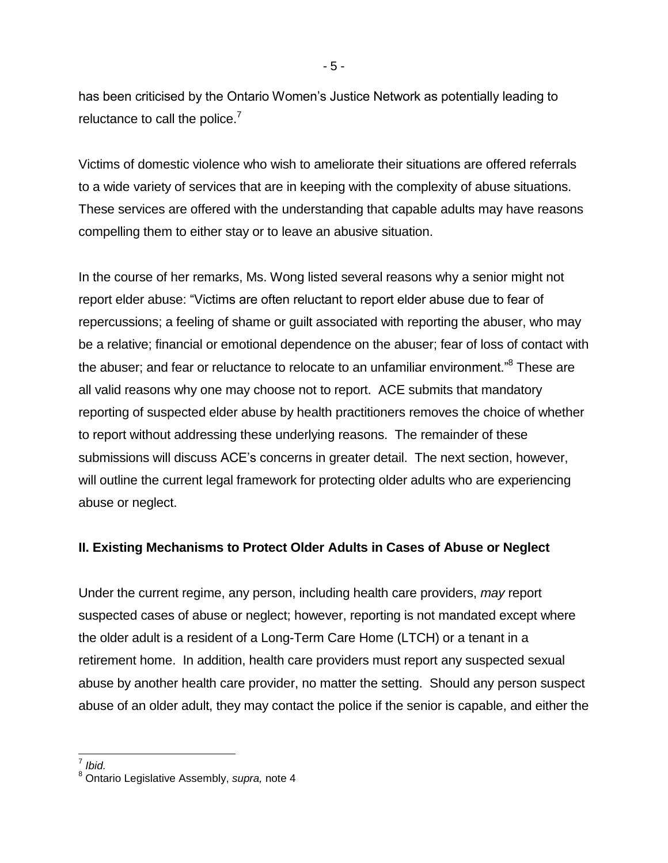has been criticised by the Ontario Women's Justice Network as potentially leading to reluctance to call the police. $<sup>7</sup>$ </sup>

Victims of domestic violence who wish to ameliorate their situations are offered referrals to a wide variety of services that are in keeping with the complexity of abuse situations. These services are offered with the understanding that capable adults may have reasons compelling them to either stay or to leave an abusive situation.

In the course of her remarks, Ms. Wong listed several reasons why a senior might not report elder abuse: "Victims are often reluctant to report elder abuse due to fear of repercussions; a feeling of shame or guilt associated with reporting the abuser, who may be a relative; financial or emotional dependence on the abuser; fear of loss of contact with the abuser; and fear or reluctance to relocate to an unfamiliar environment."<sup>8</sup> These are all valid reasons why one may choose not to report. ACE submits that mandatory reporting of suspected elder abuse by health practitioners removes the choice of whether to report without addressing these underlying reasons. The remainder of these submissions will discuss ACE's concerns in greater detail. The next section, however, will outline the current legal framework for protecting older adults who are experiencing abuse or neglect.

# **II. Existing Mechanisms to Protect Older Adults in Cases of Abuse or Neglect**

Under the current regime, any person, including health care providers, *may* report suspected cases of abuse or neglect; however, reporting is not mandated except where the older adult is a resident of a Long-Term Care Home (LTCH) or a tenant in a retirement home. In addition, health care providers must report any suspected sexual abuse by another health care provider, no matter the setting. Should any person suspect abuse of an older adult, they may contact the police if the senior is capable, and either the

 7 *Ibid.*

<sup>8</sup> Ontario Legislative Assembly, *supra,* note [4](#page-3-0)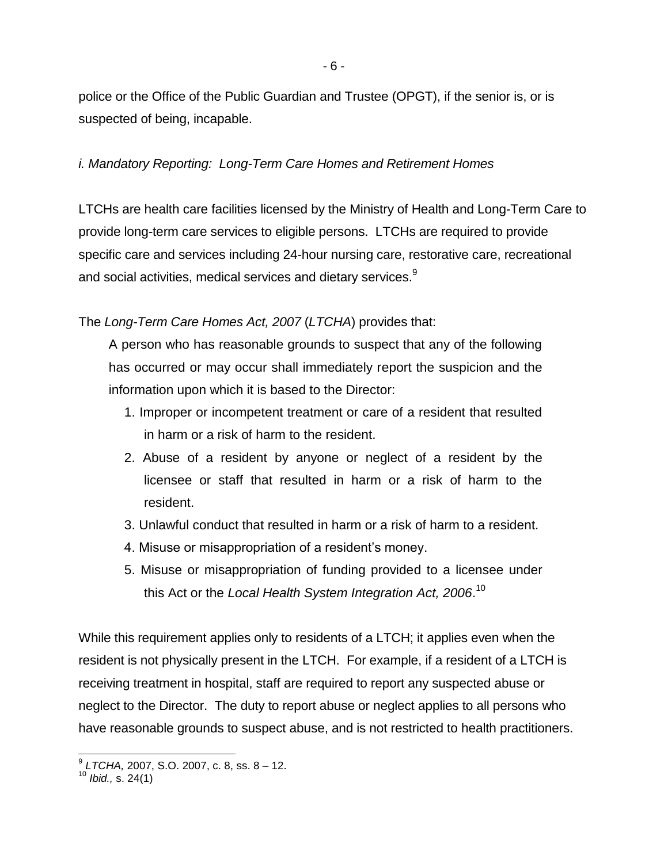<span id="page-5-0"></span>- 6 -

police or the Office of the Public Guardian and Trustee (OPGT), if the senior is, or is suspected of being, incapable.

*i. Mandatory Reporting: Long-Term Care Homes and Retirement Homes*

LTCHs are health care facilities licensed by the Ministry of Health and Long-Term Care to provide long-term care services to eligible persons. LTCHs are required to provide specific care and services including 24-hour nursing care, restorative care, recreational and social activities, medical services and dietary services. $9$ 

The *Long-Term Care Homes Act, 2007* (*LTCHA*) provides that:

A person who has reasonable grounds to suspect that any of the following has occurred or may occur shall immediately report the suspicion and the information upon which it is based to the Director:

- 1. Improper or incompetent treatment or care of a resident that resulted in harm or a risk of harm to the resident.
- 2. Abuse of a resident by anyone or neglect of a resident by the licensee or staff that resulted in harm or a risk of harm to the resident.
- 3. Unlawful conduct that resulted in harm or a risk of harm to a resident.
- 4. Misuse or misappropriation of a resident's money.
- 5. Misuse or misappropriation of funding provided to a licensee under this Act or the *Local Health System Integration Act, 2006*. 10

While this requirement applies only to residents of a LTCH; it applies even when the resident is not physically present in the LTCH. For example, if a resident of a LTCH is receiving treatment in hospital, staff are required to report any suspected abuse or neglect to the Director. The duty to report abuse or neglect applies to all persons who have reasonable grounds to suspect abuse, and is not restricted to health practitioners.

 9 *LTCHA,* 2007, S.O. 2007, c. 8, ss. 8 – 12.

<sup>10</sup> *Ibid.,* s. 24(1)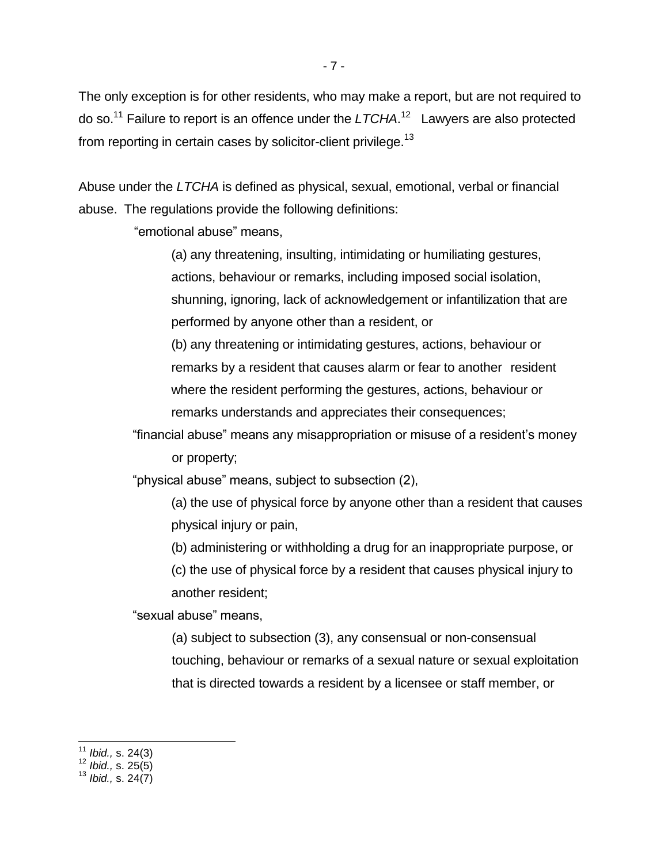The only exception is for other residents, who may make a report, but are not required to do so.<sup>11</sup> Failure to report is an offence under the *LTCHA*. 12 Lawyers are also protected from reporting in certain cases by solicitor-client privilege.<sup>13</sup>

Abuse under the *LTCHA* is defined as physical, sexual, emotional, verbal or financial abuse. The regulations provide the following definitions:

"emotional abuse" means,

(a) any threatening, insulting, intimidating or humiliating gestures, actions, behaviour or remarks, including imposed social isolation, shunning, ignoring, lack of acknowledgement or infantilization that are performed by anyone other than a resident, or

(b) any threatening or intimidating gestures, actions, behaviour or remarks by a resident that causes alarm or fear to another resident where the resident performing the gestures, actions, behaviour or remarks understands and appreciates their consequences;

"financial abuse" means any misappropriation or misuse of a resident's money or property;

"physical abuse" means, subject to subsection (2),

(a) the use of physical force by anyone other than a resident that causes physical injury or pain,

(b) administering or withholding a drug for an inappropriate purpose, or

(c) the use of physical force by a resident that causes physical injury to another resident;

"sexual abuse" means,

(a) subject to subsection (3), any consensual or non-consensual touching, behaviour or remarks of a sexual nature or sexual exploitation that is directed towards a resident by a licensee or staff member, or

 $\overline{a}$ <sup>11</sup> *Ibid.,* s. 24(3)

<sup>12</sup> *Ibid.,* s. 25(5)

<sup>13</sup> *Ibid.,* s. 24(7)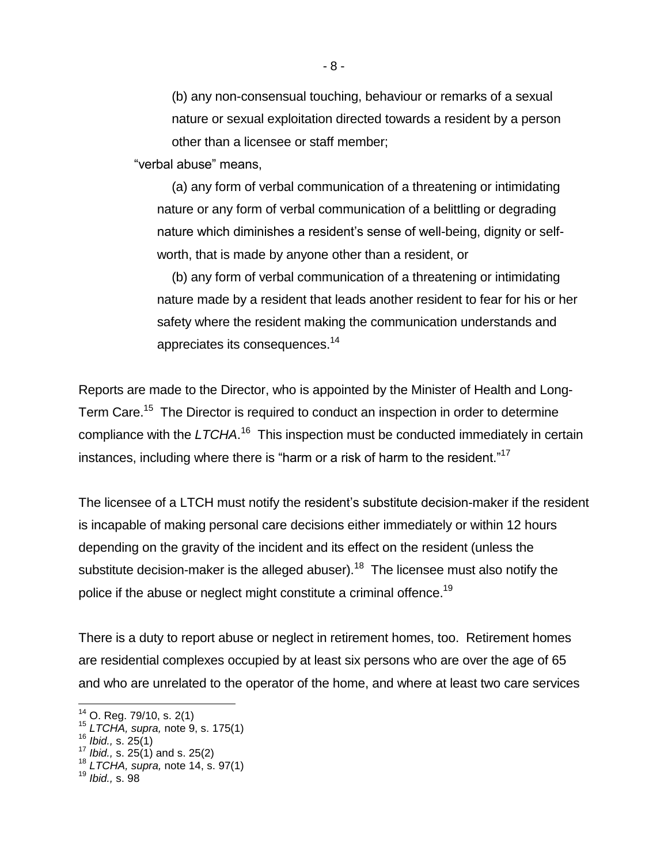(b) any non-consensual touching, behaviour or remarks of a sexual nature or sexual exploitation directed towards a resident by a person other than a licensee or staff member;

"verbal abuse" means,

(a) any form of verbal communication of a threatening or intimidating nature or any form of verbal communication of a belittling or degrading nature which diminishes a resident's sense of well-being, dignity or selfworth, that is made by anyone other than a resident, or

<span id="page-7-0"></span>(b) any form of verbal communication of a threatening or intimidating nature made by a resident that leads another resident to fear for his or her safety where the resident making the communication understands and appreciates its consequences.<sup>14</sup>

Reports are made to the Director, who is appointed by the Minister of Health and Long-Term Care.<sup>15</sup> The Director is required to conduct an inspection in order to determine compliance with the LTCHA.<sup>16</sup> This inspection must be conducted immediately in certain instances, including where there is "harm or a risk of harm to the resident."<sup>17</sup>

The licensee of a LTCH must notify the resident's substitute decision-maker if the resident is incapable of making personal care decisions either immediately or within 12 hours depending on the gravity of the incident and its effect on the resident (unless the substitute decision-maker is the alleged abuser).<sup>18</sup> The licensee must also notify the police if the abuse or neglect might constitute a criminal offence.<sup>19</sup>

There is a duty to report abuse or neglect in retirement homes, too. Retirement homes are residential complexes occupied by at least six persons who are over the age of 65 and who are unrelated to the operator of the home, and where at least two care services

 $\overline{a}$ 

 $14$  O. Reg. 79/10, s. 2(1)

<sup>15</sup> *LTCHA, supra,* note [9,](#page-5-0) s. 175(1)

<sup>16</sup> *Ibid.,* s. 25(1)

<sup>17</sup> *Ibid.,* s. 25(1) and s. 25(2)

<sup>18</sup> *LTCHA, supra,* note [14,](#page-7-0) s. 97(1)

<sup>19</sup> *Ibid.,* s. 98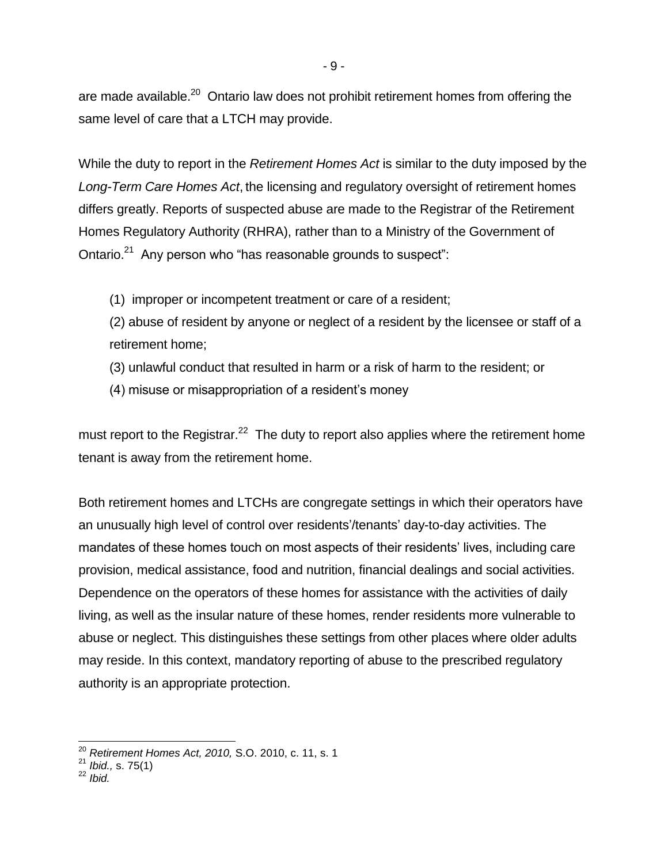are made available.<sup>20</sup> Ontario law does not prohibit retirement homes from offering the same level of care that a LTCH may provide.

While the duty to report in the *Retirement Homes Act* is similar to the duty imposed by the *Long-Term Care Homes Act*, the licensing and regulatory oversight of retirement homes differs greatly. Reports of suspected abuse are made to the Registrar of the Retirement Homes Regulatory Authority (RHRA), rather than to a Ministry of the Government of Ontario.<sup>21</sup> Any person who "has reasonable grounds to suspect":

(1) improper or incompetent treatment or care of a resident;

(2) abuse of resident by anyone or neglect of a resident by the licensee or staff of a retirement home;

- (3) unlawful conduct that resulted in harm or a risk of harm to the resident; or
- (4) misuse or misappropriation of a resident's money

must report to the Registrar.<sup>22</sup> The duty to report also applies where the retirement home tenant is away from the retirement home.

Both retirement homes and LTCHs are congregate settings in which their operators have an unusually high level of control over residents'/tenants' day-to-day activities. The mandates of these homes touch on most aspects of their residents' lives, including care provision, medical assistance, food and nutrition, financial dealings and social activities. Dependence on the operators of these homes for assistance with the activities of daily living, as well as the insular nature of these homes, render residents more vulnerable to abuse or neglect. This distinguishes these settings from other places where older adults may reside. In this context, mandatory reporting of abuse to the prescribed regulatory authority is an appropriate protection.

j

<sup>20</sup> *Retirement Homes Act, 2010,* S.O. 2010, c. 11, s. 1

<sup>21</sup> *Ibid.,* s. 75(1)

<sup>22</sup> *Ibid.*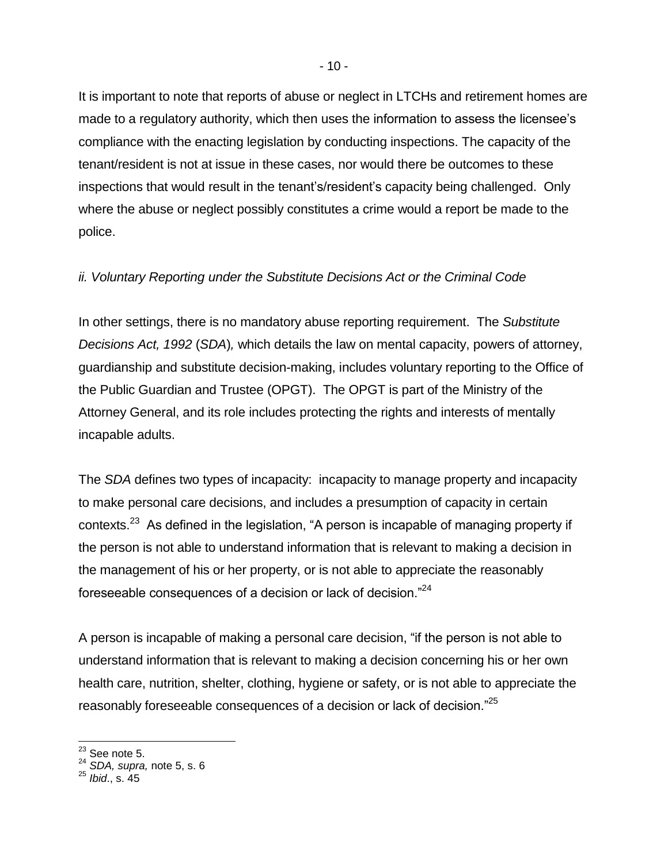It is important to note that reports of abuse or neglect in LTCHs and retirement homes are made to a regulatory authority, which then uses the information to assess the licensee's compliance with the enacting legislation by conducting inspections. The capacity of the tenant/resident is not at issue in these cases, nor would there be outcomes to these inspections that would result in the tenant's/resident's capacity being challenged. Only where the abuse or neglect possibly constitutes a crime would a report be made to the police.

#### *ii. Voluntary Reporting under the Substitute Decisions Act or the Criminal Code*

In other settings, there is no mandatory abuse reporting requirement. The *Substitute Decisions Act, 1992* (*SDA*)*,* which details the law on mental capacity, powers of attorney, guardianship and substitute decision-making, includes voluntary reporting to the Office of the Public Guardian and Trustee (OPGT). The OPGT is part of the Ministry of the Attorney General, and its role includes protecting the rights and interests of mentally incapable adults.

The *SDA* defines two types of incapacity: incapacity to manage property and incapacity to make personal care decisions, and includes a presumption of capacity in certain contexts.<sup>23</sup> As defined in the legislation, "A person is incapable of managing property if the person is not able to understand information that is relevant to making a decision in the management of his or her property, or is not able to appreciate the reasonably foreseeable consequences of a decision or lack of decision."<sup>24</sup>

A person is incapable of making a personal care decision, "if the person is not able to understand information that is relevant to making a decision concerning his or her own health care, nutrition, shelter, clothing, hygiene or safety, or is not able to appreciate the reasonably foreseeable consequences of a decision or lack of decision."<sup>25</sup>

 $23$  See note [5.](#page-3-1)

<sup>24</sup> *SDA, supra,* note [5,](#page-3-1) s. 6

<sup>25</sup> *Ibid*., s. 45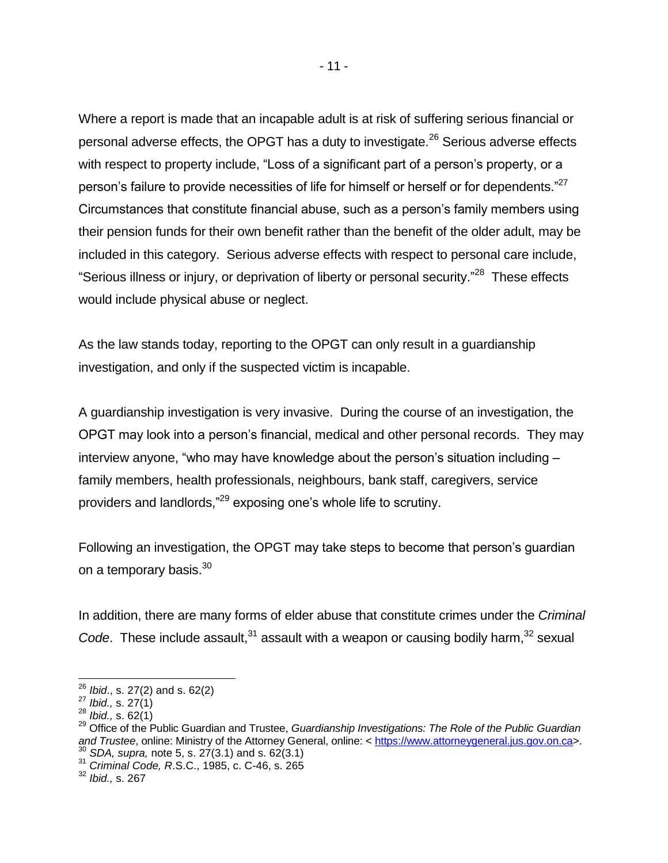Where a report is made that an incapable adult is at risk of suffering serious financial or personal adverse effects, the OPGT has a duty to investigate.<sup>26</sup> Serious adverse effects with respect to property include, "Loss of a significant part of a person's property, or a person's failure to provide necessities of life for himself or herself or for dependents." $^{27}$ Circumstances that constitute financial abuse, such as a person's family members using their pension funds for their own benefit rather than the benefit of the older adult, may be included in this category. Serious adverse effects with respect to personal care include, "Serious illness or injury, or deprivation of liberty or personal security."<sup>28</sup> These effects would include physical abuse or neglect.

As the law stands today, reporting to the OPGT can only result in a guardianship investigation, and only if the suspected victim is incapable.

A guardianship investigation is very invasive. During the course of an investigation, the OPGT may look into a person's financial, medical and other personal records. They may interview anyone, "who may have knowledge about the person's situation including – family members, health professionals, neighbours, bank staff, caregivers, service providers and landlords,"<sup>29</sup> exposing one's whole life to scrutiny.

Following an investigation, the OPGT may take steps to become that person's guardian on a temporary basis.<sup>30</sup>

In addition, there are many forms of elder abuse that constitute crimes under the *Criminal*  Code. These include assault,<sup>31</sup> assault with a weapon or causing bodily harm,<sup>32</sup> sexual

 $\overline{a}$ 

<sup>31</sup> *Criminal Code, R*.S.C., 1985, c. C-46, s. 265

<sup>26</sup> *Ibid*., s. 27(2) and s. 62(2)

<sup>27</sup> *Ibid.,* s. 27(1)

<sup>28</sup> *Ibid.,* s. 62(1)

<sup>&</sup>lt;sup>29</sup> Office of the Public Guardian and Trustee, *Guardianship Investigations: The Role of the Public Guardian* and Trustee, online: Ministry of the Attorney General, online: [< https://www.attorneygeneral.jus.gov.on.ca>](https://www.attorneygeneral.jus.gov.on.ca/). <sup>30</sup> *SDA, supra,* note [5,](#page-3-1) s. 27(3.1) and s. 62(3.1)

<sup>32</sup> *Ibid.,* s. 267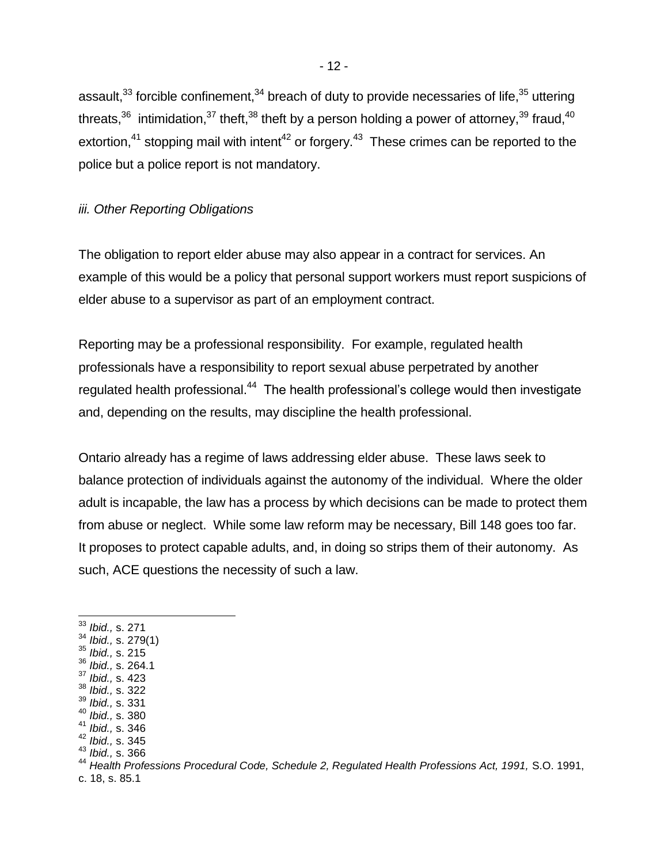assault,  $33$  forcible confinement,  $34$  breach of duty to provide necessaries of life,  $35$  uttering threats, $36$  intimidation,  $37$  theft,  $38$  theft by a person holding a power of attorney,  $39$  fraud,  $40$ extortion,<sup>41</sup> stopping mail with intent<sup>42</sup> or forgery.<sup>43</sup> These crimes can be reported to the police but a police report is not mandatory.

#### *iii. Other Reporting Obligations*

The obligation to report elder abuse may also appear in a contract for services. An example of this would be a policy that personal support workers must report suspicions of elder abuse to a supervisor as part of an employment contract.

Reporting may be a professional responsibility. For example, regulated health professionals have a responsibility to report sexual abuse perpetrated by another regulated health professional.<sup>44</sup> The health professional's college would then investigate and, depending on the results, may discipline the health professional.

Ontario already has a regime of laws addressing elder abuse. These laws seek to balance protection of individuals against the autonomy of the individual. Where the older adult is incapable, the law has a process by which decisions can be made to protect them from abuse or neglect. While some law reform may be necessary, Bill 148 goes too far. It proposes to protect capable adults, and, in doing so strips them of their autonomy. As such, ACE questions the necessity of such a law.

- <sup>37</sup> *Ibid.,* s. 423
- <sup>38</sup> *Ibid.,* s. 322
- <sup>39</sup> *Ibid.,* s. 331 <sup>40</sup> *Ibid.,* s. 380
- <sup>41</sup> *Ibid.,* s. 346
- <sup>42</sup> *Ibid.,* s. 345
- <sup>43</sup> *Ibid.,* s. 366

c. 18, s. 85.1

 $\overline{\phantom{a}}$ <sup>33</sup> *Ibid.,* s. 271

<sup>34</sup> *Ibid.,* s. 279(1)

<sup>35</sup> *Ibid.,* s. 215

<sup>36</sup> *Ibid.,* s. 264.1

<sup>44</sup> *Health Professions Procedural Code, Schedule 2, Regulated Health Professions Act, 1991,* S.O. 1991,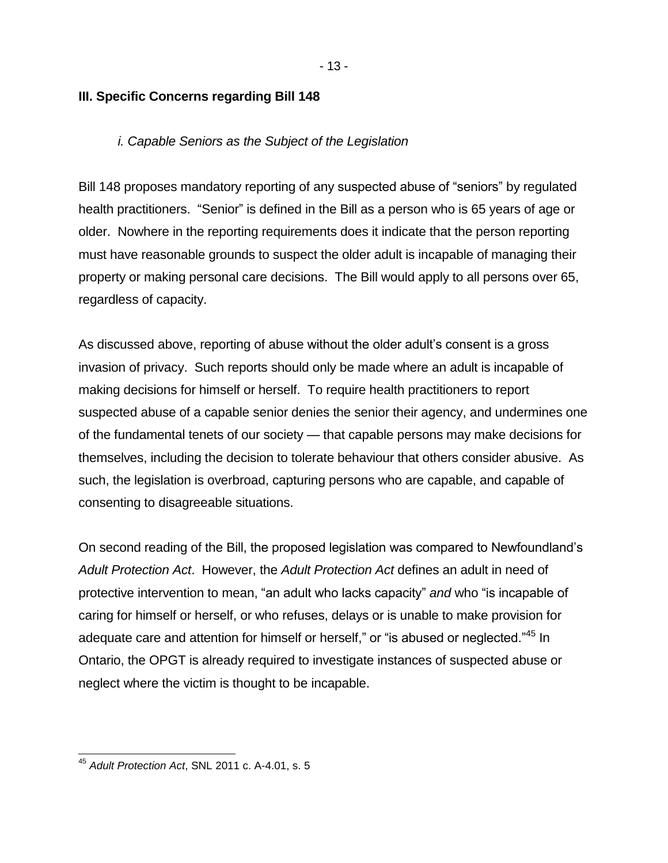### **III. Specific Concerns regarding Bill 148**

#### *i. Capable Seniors as the Subject of the Legislation*

Bill 148 proposes mandatory reporting of any suspected abuse of "seniors" by regulated health practitioners. "Senior" is defined in the Bill as a person who is 65 years of age or older. Nowhere in the reporting requirements does it indicate that the person reporting must have reasonable grounds to suspect the older adult is incapable of managing their property or making personal care decisions. The Bill would apply to all persons over 65, regardless of capacity.

As discussed above, reporting of abuse without the older adult's consent is a gross invasion of privacy. Such reports should only be made where an adult is incapable of making decisions for himself or herself. To require health practitioners to report suspected abuse of a capable senior denies the senior their agency, and undermines one of the fundamental tenets of our society — that capable persons may make decisions for themselves, including the decision to tolerate behaviour that others consider abusive. As such, the legislation is overbroad, capturing persons who are capable, and capable of consenting to disagreeable situations.

On second reading of the Bill, the proposed legislation was compared to Newfoundland's *Adult Protection Act*. However, the *Adult Protection Act* defines an adult in need of protective intervention to mean, "an adult who lacks capacity" *and* who "is incapable of caring for himself or herself, or who refuses, delays or is unable to make provision for adequate care and attention for himself or herself," or "is abused or neglected."<sup>45</sup> In Ontario, the OPGT is already required to investigate instances of suspected abuse or neglect where the victim is thought to be incapable.

 $\overline{a}$ 

<sup>45</sup> *Adult Protection Act*, SNL 2011 c. A-4.01, s. 5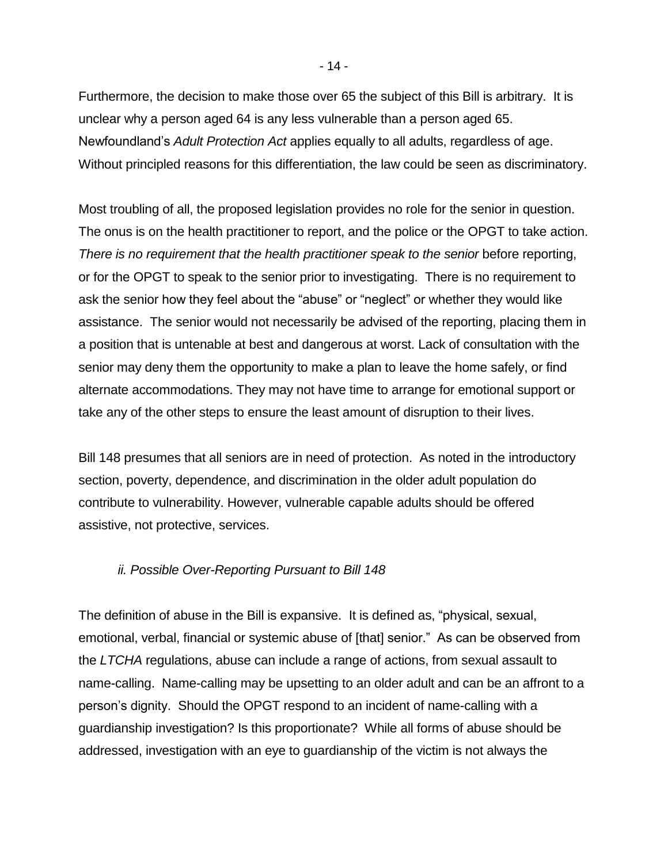Furthermore, the decision to make those over 65 the subject of this Bill is arbitrary. It is unclear why a person aged 64 is any less vulnerable than a person aged 65. Newfoundland's *Adult Protection Act* applies equally to all adults, regardless of age. Without principled reasons for this differentiation, the law could be seen as discriminatory.

Most troubling of all, the proposed legislation provides no role for the senior in question. The onus is on the health practitioner to report, and the police or the OPGT to take action. *There is no requirement that the health practitioner speak to the senior* before reporting, or for the OPGT to speak to the senior prior to investigating. There is no requirement to ask the senior how they feel about the "abuse" or "neglect" or whether they would like assistance. The senior would not necessarily be advised of the reporting, placing them in a position that is untenable at best and dangerous at worst. Lack of consultation with the senior may deny them the opportunity to make a plan to leave the home safely, or find alternate accommodations. They may not have time to arrange for emotional support or take any of the other steps to ensure the least amount of disruption to their lives.

Bill 148 presumes that all seniors are in need of protection. As noted in the introductory section, poverty, dependence, and discrimination in the older adult population do contribute to vulnerability. However, vulnerable capable adults should be offered assistive, not protective, services.

#### *ii. Possible Over-Reporting Pursuant to Bill 148*

The definition of abuse in the Bill is expansive. It is defined as, "physical, sexual, emotional, verbal, financial or systemic abuse of [that] senior." As can be observed from the *LTCHA* regulations, abuse can include a range of actions, from sexual assault to name-calling. Name-calling may be upsetting to an older adult and can be an affront to a person's dignity. Should the OPGT respond to an incident of name-calling with a guardianship investigation? Is this proportionate? While all forms of abuse should be addressed, investigation with an eye to guardianship of the victim is not always the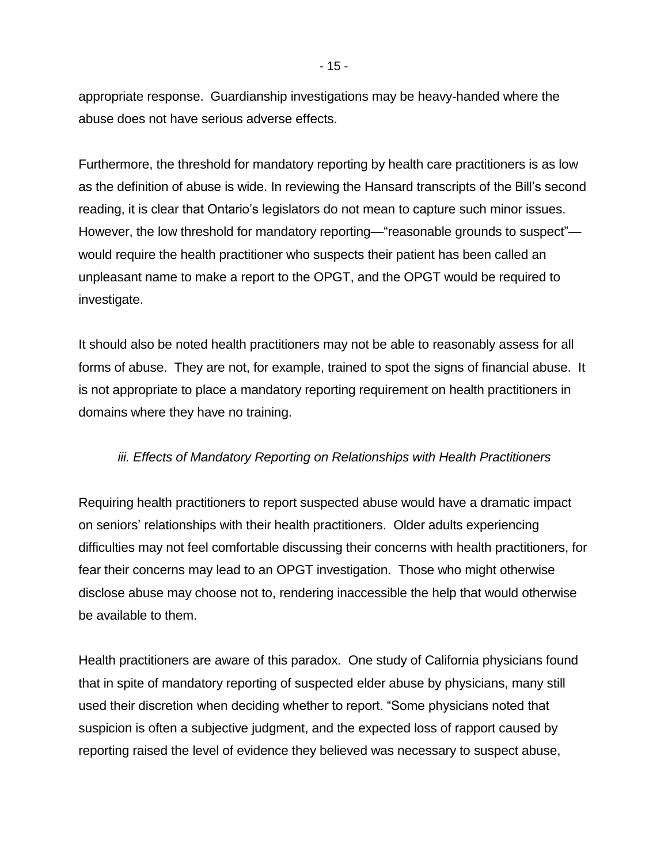appropriate response. Guardianship investigations may be heavy-handed where the abuse does not have serious adverse effects.

Furthermore, the threshold for mandatory reporting by health care practitioners is as low as the definition of abuse is wide. In reviewing the Hansard transcripts of the Bill's second reading, it is clear that Ontario's legislators do not mean to capture such minor issues. However, the low threshold for mandatory reporting—"reasonable grounds to suspect" would require the health practitioner who suspects their patient has been called an unpleasant name to make a report to the OPGT, and the OPGT would be required to investigate.

It should also be noted health practitioners may not be able to reasonably assess for all forms of abuse. They are not, for example, trained to spot the signs of financial abuse. It is not appropriate to place a mandatory reporting requirement on health practitioners in domains where they have no training.

#### *iii. Effects of Mandatory Reporting on Relationships with Health Practitioners*

Requiring health practitioners to report suspected abuse would have a dramatic impact on seniors' relationships with their health practitioners. Older adults experiencing difficulties may not feel comfortable discussing their concerns with health practitioners, for fear their concerns may lead to an OPGT investigation. Those who might otherwise disclose abuse may choose not to, rendering inaccessible the help that would otherwise be available to them.

Health practitioners are aware of this paradox. One study of California physicians found that in spite of mandatory reporting of suspected elder abuse by physicians, many still used their discretion when deciding whether to report. "Some physicians noted that suspicion is often a subjective judgment, and the expected loss of rapport caused by reporting raised the level of evidence they believed was necessary to suspect abuse,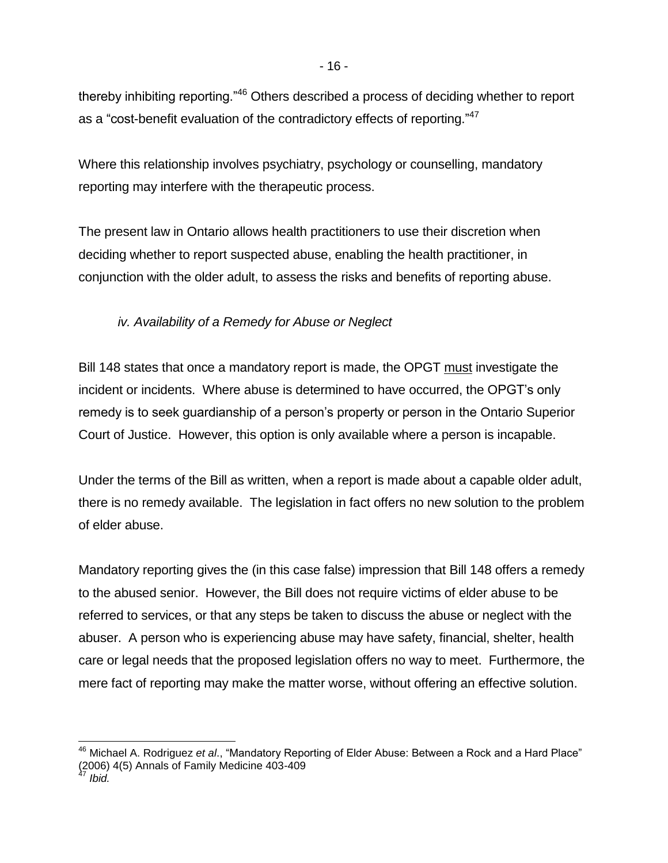thereby inhibiting reporting."<sup>46</sup> Others described a process of deciding whether to report as a "cost-benefit evaluation of the contradictory effects of reporting."<sup>47</sup>

Where this relationship involves psychiatry, psychology or counselling, mandatory reporting may interfere with the therapeutic process.

The present law in Ontario allows health practitioners to use their discretion when deciding whether to report suspected abuse, enabling the health practitioner, in conjunction with the older adult, to assess the risks and benefits of reporting abuse.

### *iv. Availability of a Remedy for Abuse or Neglect*

Bill 148 states that once a mandatory report is made, the OPGT must investigate the incident or incidents. Where abuse is determined to have occurred, the OPGT's only remedy is to seek guardianship of a person's property or person in the Ontario Superior Court of Justice. However, this option is only available where a person is incapable.

Under the terms of the Bill as written, when a report is made about a capable older adult, there is no remedy available. The legislation in fact offers no new solution to the problem of elder abuse.

Mandatory reporting gives the (in this case false) impression that Bill 148 offers a remedy to the abused senior. However, the Bill does not require victims of elder abuse to be referred to services, or that any steps be taken to discuss the abuse or neglect with the abuser. A person who is experiencing abuse may have safety, financial, shelter, health care or legal needs that the proposed legislation offers no way to meet. Furthermore, the mere fact of reporting may make the matter worse, without offering an effective solution.

l,

<sup>46</sup> Michael A. Rodriguez *et al*., "Mandatory Reporting of Elder Abuse: Between a Rock and a Hard Place" (2006) 4(5) Annals of Family Medicine 403-409

<sup>47</sup> *Ibid.*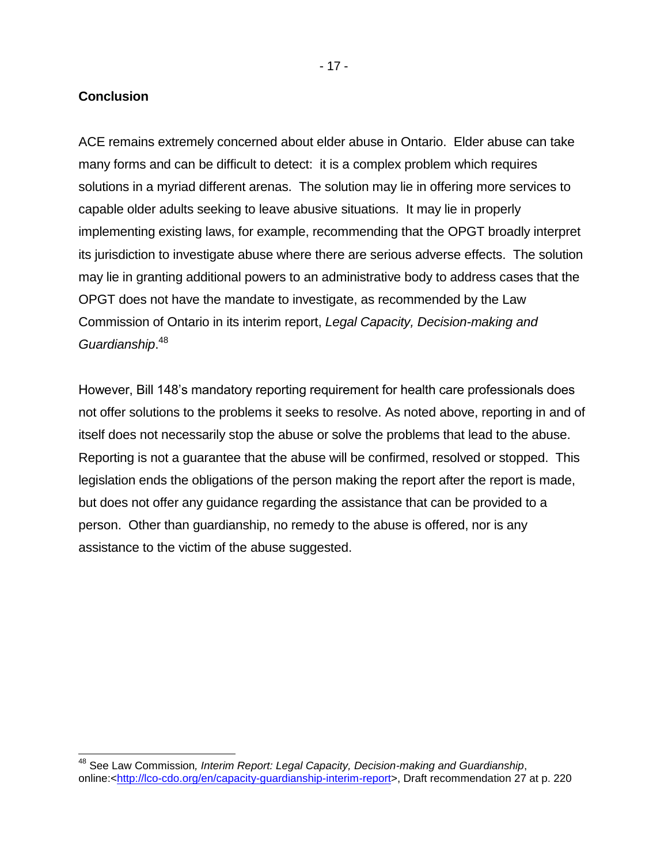#### **Conclusion**

 $\overline{a}$ 

ACE remains extremely concerned about elder abuse in Ontario. Elder abuse can take many forms and can be difficult to detect: it is a complex problem which requires solutions in a myriad different arenas. The solution may lie in offering more services to capable older adults seeking to leave abusive situations. It may lie in properly implementing existing laws, for example, recommending that the OPGT broadly interpret its jurisdiction to investigate abuse where there are serious adverse effects. The solution may lie in granting additional powers to an administrative body to address cases that the OPGT does not have the mandate to investigate, as recommended by the Law Commission of Ontario in its interim report, *Legal Capacity, Decision-making and Guardianship*. 48

However, Bill 148's mandatory reporting requirement for health care professionals does not offer solutions to the problems it seeks to resolve. As noted above, reporting in and of itself does not necessarily stop the abuse or solve the problems that lead to the abuse. Reporting is not a guarantee that the abuse will be confirmed, resolved or stopped. This legislation ends the obligations of the person making the report after the report is made, but does not offer any guidance regarding the assistance that can be provided to a person. Other than guardianship, no remedy to the abuse is offered, nor is any assistance to the victim of the abuse suggested.

<sup>48</sup> See Law Commission*, Interim Report: Legal Capacity, Decision-making and Guardianship*, online:[<http://lco-cdo.org/en/capacity-guardianship-interim-report>](http://lco-cdo.org/en/capacity-guardianship-interim-report), Draft recommendation 27 at p. 220